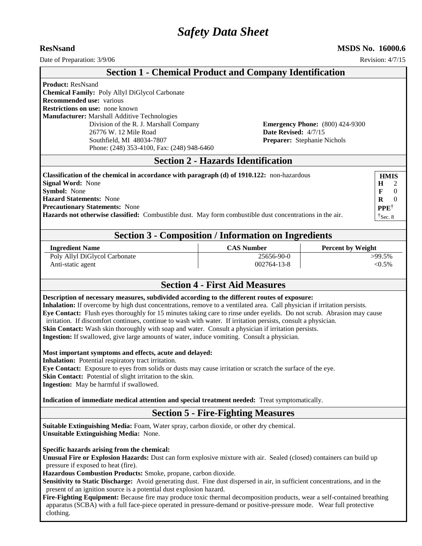# *Safety Data Sheet*

**ResNsand MSDS No. 16000.6**

| Date of Preparation: 3/9/06                                                                                                                                                                                                                                                                                                                                                                                                                                                                                                                                                                                                                                                                                                                                                                                                                                                                                                                                                                                        |                                                                | Revision: 4/7/15                                                                                                       |
|--------------------------------------------------------------------------------------------------------------------------------------------------------------------------------------------------------------------------------------------------------------------------------------------------------------------------------------------------------------------------------------------------------------------------------------------------------------------------------------------------------------------------------------------------------------------------------------------------------------------------------------------------------------------------------------------------------------------------------------------------------------------------------------------------------------------------------------------------------------------------------------------------------------------------------------------------------------------------------------------------------------------|----------------------------------------------------------------|------------------------------------------------------------------------------------------------------------------------|
|                                                                                                                                                                                                                                                                                                                                                                                                                                                                                                                                                                                                                                                                                                                                                                                                                                                                                                                                                                                                                    | <b>Section 1 - Chemical Product and Company Identification</b> |                                                                                                                        |
| <b>Product: ResNsand</b><br>Chemical Family: Poly Allyl DiGlycol Carbonate<br>Recommended use: various<br><b>Restrictions on use: none known</b><br>Manufacturer: Marshall Additive Technologies<br>Division of the R. J. Marshall Company<br>26776 W. 12 Mile Road<br>Southfield, MI 48034-7807<br>Phone: (248) 353-4100, Fax: (248) 948-6460                                                                                                                                                                                                                                                                                                                                                                                                                                                                                                                                                                                                                                                                     | Date Revised: 4/7/15                                           | <b>Emergency Phone:</b> (800) 424-9300<br>Preparer: Stephanie Nichols                                                  |
|                                                                                                                                                                                                                                                                                                                                                                                                                                                                                                                                                                                                                                                                                                                                                                                                                                                                                                                                                                                                                    | <b>Section 2 - Hazards Identification</b>                      |                                                                                                                        |
| Classification of the chemical in accordance with paragraph (d) of 1910.122: non-hazardous<br><b>Signal Word: None</b><br>Symbol: None<br><b>Hazard Statements: None</b><br><b>Precautionary Statements: None</b><br>Hazards not otherwise classified: Combustible dust. May form combustible dust concentrations in the air.                                                                                                                                                                                                                                                                                                                                                                                                                                                                                                                                                                                                                                                                                      | <b>Section 3 - Composition / Information on Ingredients</b>    | <b>HMIS</b><br>H<br>$\mathbf{F}$<br>$\theta$<br>$\bf{R}$<br>$\overline{0}$<br><b>PPE</b> <sup>†</sup><br>$\tau$ Sec. 8 |
| <b>Ingredient Name</b>                                                                                                                                                                                                                                                                                                                                                                                                                                                                                                                                                                                                                                                                                                                                                                                                                                                                                                                                                                                             | <b>CAS Number</b>                                              | <b>Percent by Weight</b>                                                                                               |
| Poly Allyl DiGlycol Carbonate<br>Anti-static agent                                                                                                                                                                                                                                                                                                                                                                                                                                                                                                                                                                                                                                                                                                                                                                                                                                                                                                                                                                 | 25656-90-0<br>002764-13-8                                      | $\overline{>}99.5\%$<br>$< 0.5\%$                                                                                      |
|                                                                                                                                                                                                                                                                                                                                                                                                                                                                                                                                                                                                                                                                                                                                                                                                                                                                                                                                                                                                                    | <b>Section 4 - First Aid Measures</b>                          |                                                                                                                        |
| Description of necessary measures, subdivided according to the different routes of exposure:<br>Inhalation: If overcome by high dust concentrations, remove to a ventilated area. Call physician if irritation persists.<br>Eye Contact: Flush eyes thoroughly for 15 minutes taking care to rinse under eyelids. Do not scrub. Abrasion may cause<br>irritation. If discomfort continues, continue to wash with water. If irritation persists, consult a physician.<br>Skin Contact: Wash skin thoroughly with soap and water. Consult a physician if irritation persists.<br>Ingestion: If swallowed, give large amounts of water, induce vomiting. Consult a physician.<br>Most important symptoms and effects, acute and delayed:<br>Inhalation: Potential respiratory tract irritation.<br>Eye Contact: Exposure to eyes from solids or dusts may cause irritation or scratch the surface of the eye.<br>Skin Contact: Potential of slight irritation to the skin.<br>Ingestion: May be harmful if swallowed. |                                                                |                                                                                                                        |
| Indication of immediate medical attention and special treatment needed: Treat symptomatically.                                                                                                                                                                                                                                                                                                                                                                                                                                                                                                                                                                                                                                                                                                                                                                                                                                                                                                                     |                                                                |                                                                                                                        |
|                                                                                                                                                                                                                                                                                                                                                                                                                                                                                                                                                                                                                                                                                                                                                                                                                                                                                                                                                                                                                    | <b>Section 5 - Fire-Fighting Measures</b>                      |                                                                                                                        |
| Suitable Extinguishing Media: Foam, Water spray, carbon dioxide, or other dry chemical.<br><b>Unsuitable Extinguishing Media: None.</b><br>Specific hazards arising from the chemical:<br>Unusual Fire or Explosion Hazards: Dust can form explosive mixture with air. Sealed (closed) containers can build up<br>pressure if exposed to heat (fire).<br>Hazardous Combustion Products: Smoke, propane, carbon dioxide.<br>Sensitivity to Static Discharge: Avoid generating dust. Fine dust dispersed in air, in sufficient concentrations, and in the<br>present of an ignition source is a potential dust explosion hazard.<br>Fire-Fighting Equipment: Because fire may produce toxic thermal decomposition products, wear a self-contained breathing<br>apparatus (SCBA) with a full face-piece operated in pressure-demand or positive-pressure mode. Wear full protective<br>clothing.                                                                                                                      |                                                                |                                                                                                                        |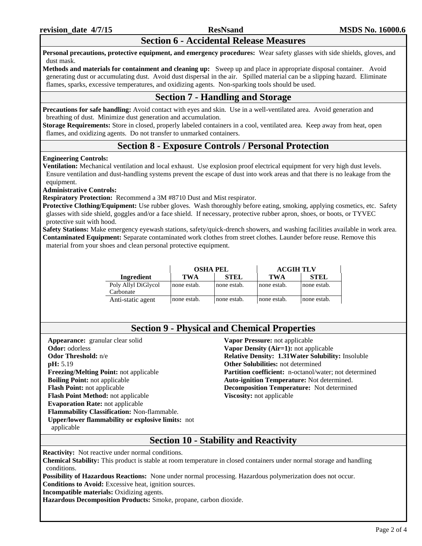## **Section 6 - Accidental Release Measures**

**Personal precautions, protective equipment, and emergency procedures:** Wear safety glasses with side shields, gloves, and dust mask.

**Methods and materials for containment and cleaning up:** Sweep up and place in appropriate disposal container. Avoid generating dust or accumulating dust. Avoid dust dispersal in the air. Spilled material can be a slipping hazard. Eliminate flames, sparks, excessive temperatures, and oxidizing agents. Non-sparking tools should be used.

## **Section 7 - Handling and Storage**

**Precautions for safe handling:** Avoid contact with eyes and skin. Use in a well-ventilated area. Avoid generation and breathing of dust. Minimize dust generation and accumulation.

**Storage Requirements:** Store in closed, properly labeled containers in a cool, ventilated area. Keep away from heat, open flames, and oxidizing agents. Do not transfer to unmarked containers.

## **Section 8 - Exposure Controls / Personal Protection**

### **Engineering Controls:**

**Ventilation:** Mechanical ventilation and local exhaust. Use explosion proof electrical equipment for very high dust levels. Ensure ventilation and dust-handling systems prevent the escape of dust into work areas and that there is no leakage from the equipment.

**Administrative Controls:**

**Respiratory Protection:** Recommend a 3M #8710 Dust and Mist respirator.

**Protective Clothing/Equipment:** Use rubber gloves. Wash thoroughly before eating, smoking, applying cosmetics, etc. Safety glasses with side shield, goggles and/or a face shield. If necessary, protective rubber apron, shoes, or boots, or TYVEC protective suit with hood.

**Safety Stations:** Make emergency eyewash stations, safety/quick-drench showers, and washing facilities available in work area. **Contaminated Equipment:** Separate contaminated work clothes from street clothes. Launder before reuse. Remove this material from your shoes and clean personal protective equipment.

|                                  | <b>OSHA PEL</b> |             | <b>ACGIH TLV</b> |             |
|----------------------------------|-----------------|-------------|------------------|-------------|
| Ingredient                       | <b>TWA</b>      | <b>STEL</b> | TWA              | <b>STEL</b> |
| Poly Allyl DiGlycol<br>Carbonate | none estab.     | none estab. | none estab.      | none estab. |
| Anti-static agent                | none estab.     | none estab. | none estab.      | none estab. |

**Appearance:** granular clear solid **Odor:** odorless **Odor Threshold:** n/e **pH:** 5.19 **Freezing/Melting Point:** not applicable **Boiling Point:** not applicable **Flash Point:** not applicable **Flash Point Method:** not applicable **Evaporation Rate:** not applicable **Flammability Classification:** Non-flammable. **Upper/lower flammability or explosive limits:** not applicable

**Vapor Pressure:** not applicable **Vapor Density (Air=1):** not applicable **Relative Density: 1.31Water Solubility:** Insoluble **Other Solubilities:** not determined Partition coefficient: n-octanol/water; not determined **Auto-ignition Temperature:** Not determined. **Decomposition Temperature:** Not determined **Viscosity:** not applicable

## **Section 10 - Stability and Reactivity**

**Reactivity:** Not reactive under normal conditions.

**Chemical Stability:** This product is stable at room temperature in closed containers under normal storage and handling conditions.

**Possibility of Hazardous Reactions:** None under normal processing. Hazardous polymerization does not occur.

**Conditions to Avoid:** Excessive heat, ignition sources.

**Incompatible materials:** Oxidizing agents.

**Hazardous Decomposition Products:** Smoke, propane, carbon dioxide.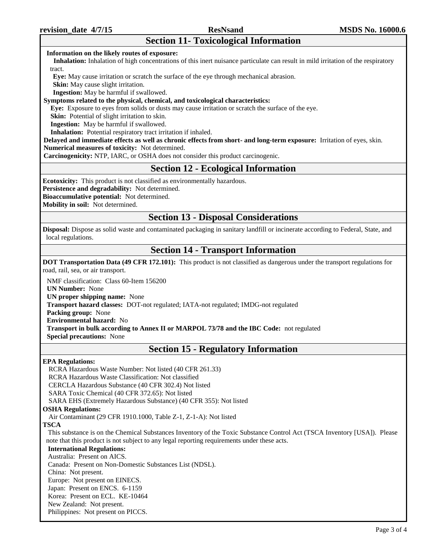## **Section 11- Toxicological Information**

#### **Information on the likely routes of exposure:**

 **Inhalation:** Inhalation of high concentrations of this inert nuisance particulate can result in mild irritation of the respiratory tract.

 **Eye:** May cause irritation or scratch the surface of the eye through mechanical abrasion.

**Skin:** May cause slight irritation.

 **Ingestion:** May be harmful if swallowed.

#### **Symptoms related to the physical, chemical, and toxicological characteristics:**

 **Eye:** Exposure to eyes from solids or dusts may cause irritation or scratch the surface of the eye.

**Skin:** Potential of slight irritation to skin.

**Ingestion:** May be harmful if swallowed.

**Inhalation:** Potential respiratory tract irritation if inhaled.

**Delayed and immediate effects as well as chronic effects from short- and long-term exposure:** Irritation of eyes, skin. **Numerical measures of toxicity:** Not determined.

**Carcinogenicity:** NTP, IARC, or OSHA does not consider this product carcinogenic.

## **Section 12 - Ecological Information**

**Ecotoxicity:** This product is not classified as environmentally hazardous.

**Persistence and degradability:** Not determined.

**Bioaccumulative potential:** Not determined.

**Mobility in soil:** Not determined.

## **Section 13 - Disposal Considerations**

**Disposal:** Dispose as solid waste and contaminated packaging in sanitary landfill or incinerate according to Federal, State, and local regulations.

## **Section 14 - Transport Information**

**DOT Transportation Data (49 CFR 172.101):** This product is not classified as dangerous under the transport regulations for road, rail, sea, or air transport.

NMF classification: Class 60-Item 156200

**UN Number:** None

**UN proper shipping name:** None

**Transport hazard classes:** DOT-not regulated; IATA-not regulated; IMDG-not regulated

**Packing group:** None

**Environmental hazard:** No

**Transport in bulk according to Annex II or MARPOL 73/78 and the IBC Code:** not regulated

**Special precautions:** None

## **Section 15 - Regulatory Information**

### **EPA Regulations:**

RCRA Hazardous Waste Number: Not listed (40 CFR 261.33) RCRA Hazardous Waste Classification: Not classified CERCLA Hazardous Substance (40 CFR 302.4) Not listed SARA Toxic Chemical (40 CFR 372.65): Not listed SARA EHS (Extremely Hazardous Substance) (40 CFR 355): Not listed **OSHA Regulations:** Air Contaminant (29 CFR 1910.1000, Table Z-1, Z-1-A): Not listed **TSCA** This substance is on the Chemical Substances Inventory of the Toxic Substance Control Act (TSCA Inventory [USA]). Please note that this product is not subject to any legal reporting requirements under these acts. **International Regulations:** Australia: Present on AICS. Canada: Present on Non-Domestic Substances List (NDSL). China: Not present. Europe: Not present on EINECS. Japan: Present on ENCS. 6-1159 Korea: Present on ECL. KE-10464 New Zealand: Not present. Philippines: Not present on PICCS.